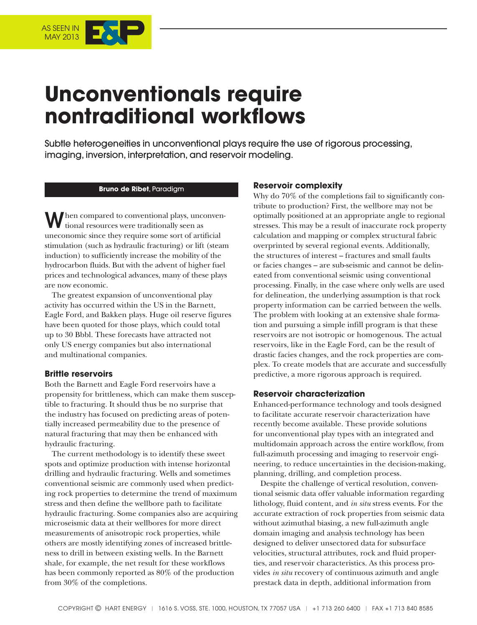

# **Unconventionals require nontraditional workflows**

Subtle heterogeneities in unconventional plays require the use of rigorous processing, imaging, inversion, interpretation, and reservoir modeling.

#### **Bruno de Ribet**, Paradigm

**Then compared to conventional plays, unconven**tional resources were traditionally seen as uneconomic since they require some sort of artificial stimulation (such as hydraulic fracturing) or lift (steam induction) to sufficiently increase the mobility of the hydrocarbon fluids. But with the advent of higher fuel prices and technological advances, many of these plays are now economic.

The greatest expansion of unconventional play activity has occurred within the US in the Barnett, Eagle Ford, and Bakken plays. Huge oil reserve figures have been quoted for those plays, which could total up to 30 Bbbl. These forecasts have attracted not only US energy companies but also international and multinational companies.

#### **Brittle reservoirs**

Both the Barnett and Eagle Ford reservoirs have a propensity for brittleness, which can make them susceptible to fracturing. It should thus be no surprise that the industry has focused on predicting areas of potentially increased permeability due to the presence of natural fracturing that may then be enhanced with hydraulic fracturing.

The current methodology is to identify these sweet spots and optimize production with intense horizontal drilling and hydraulic fracturing. Wells and sometimes conventional seismic are commonly used when predicting rock properties to determine the trend of maximum stress and then define the wellbore path to facilitate hydraulic fracturing. Some companies also are acquiring microseismic data at their wellbores for more direct measurements of anisotropic rock properties, while others are mostly identifying zones of increased brittleness to drill in between existing wells. In the Barnett shale, for example, the net result for these workflows has been commonly reported as 80% of the production from 30% of the completions.

#### **Reservoir complexity**

Why do 70% of the completions fail to significantly contribute to production? First, the wellbore may not be optimally positioned at an appropriate angle to regional stresses. This may be a result of inaccurate rock property calculation and mapping or complex structural fabric overprinted by several regional events. Additionally, the structures of interest – fractures and small faults or facies changes – are sub-seismic and cannot be delineated from conventional seismic using conventional processing. Finally, in the case where only wells are used for delineation, the underlying assumption is that rock property information can be carried between the wells. The problem with looking at an extensive shale formation and pursuing a simple infill program is that these reservoirs are not isotropic or homogenous. The actual reservoirs, like in the Eagle Ford, can be the result of drastic facies changes, and the rock properties are complex. To create models that are accurate and successfully predictive, a more rigorous approach is required.

### **Reservoir characterization**

Enhanced-performance technology and tools designed to facilitate accurate reservoir characterization have recently become available. These provide solutions for unconventional play types with an integrated and multidomain approach across the entire workflow, from full-azimuth processing and imaging to reservoir engineering, to reduce uncertainties in the decision-making, planning, drilling, and completion process.

Despite the challenge of vertical resolution, conventional seismic data offer valuable information regarding lithology, fluid content, and *in situ* stress events. For the accurate extraction of rock properties from seismic data without azimuthal biasing, a new full-azimuth angle domain imaging and analysis technology has been designed to deliver unsectored data for subsurface velocities, structural attributes, rock and fluid properties, and reservoir characteristics. As this process provides *in situ* recovery of continuous azimuth and angle prestack data in depth, additional information from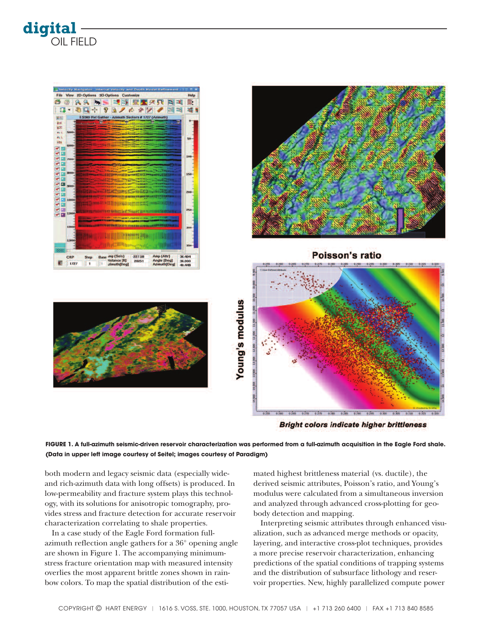



**Bright colors indicate higher brittleness** 

FIGURE 1. A full-azimuth seismic-driven reservoir characterization was performed from a full-azimuth acquisition in the Eagle Ford shale. **(Data in upper left image courtesy of Seitel; images courtesy of Paradigm)**

both modern and legacy seismic data (especially wideand rich-azimuth data with long offsets) is produced. In low-permeability and fracture system plays this technology, with its solutions for anisotropic tomography, provides stress and fracture detection for accurate reservoir characterization correlating to shale properties.

In a case study of the Eagle Ford formation fullazimuth reflection angle gathers for a 36° opening angle are shown in Figure 1. The accompanying minimumstress fracture orientation map with measured intensity overlies the most apparent brittle zones shown in rainbow colors. To map the spatial distribution of the esti-

mated highest brittleness material (vs. ductile), the derived seismic attributes, Poisson's ratio, and Young's modulus were calculated from a simultaneous inversion and analyzed through advanced cross-plotting for geobody detection and mapping.

Interpreting seismic attributes through enhanced visualization, such as advanced merge methods or opacity, layering, and interactive cross-plot techniques, provides a more precise reservoir characterization, enhancing predictions of the spatial conditions of trapping systems and the distribution of subsurface lithology and reservoir properties. New, highly parallelized compute power